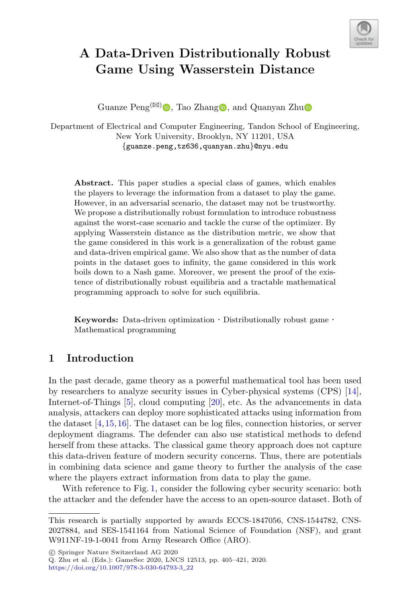

# **A Data-Driven Distributionally Robust Game Using Wasserstein Distance**

G[u](http://orcid.org/0000-0002-0008-2953)anze  $\text{Peng}^{(\boxtimes)}$  **D**[,](http://orcid.org/0000-0002-1454-4645) Tao Zhang **D**, and Quanyan Zhu

Department of Electrical and Computer Engineering, Tandon School of Engineering, New York University, Brooklyn, NY 11201, USA {guanze.peng,tz636,quanyan.zhu}@nyu.edu

**Abstract.** This paper studies a special class of games, which enables the players to leverage the information from a dataset to play the game. However, in an adversarial scenario, the dataset may not be trustworthy. We propose a distributionally robust formulation to introduce robustness against the worst-case scenario and tackle the curse of the optimizer. By applying Wasserstein distance as the distribution metric, we show that the game considered in this work is a generalization of the robust game and data-driven empirical game. We also show that as the number of data points in the dataset goes to infinity, the game considered in this work boils down to a Nash game. Moreover, we present the proof of the existence of distributionally robust equilibria and a tractable mathematical programming approach to solve for such equilibria.

**Keywords:** Data-driven optimization  $\cdot$  Distributionally robust game  $\cdot$  Mathematical programming

# **1 Introduction**

In the past decade, game theory as a powerful mathematical tool has been used by researchers to analyze security issues in Cyber-physical systems (CPS) [\[14\]](#page-16-0), Internet-of-Things [\[5\]](#page-16-1), cloud computing [\[20\]](#page-16-2), etc. As the advancements in data analysis, attackers can deploy more sophisticated attacks using information from the dataset [\[4](#page-16-3)[,15](#page-16-4),[16\]](#page-16-5). The dataset can be log files, connection histories, or server deployment diagrams. The defender can also use statistical methods to defend herself from these attacks. The classical game theory approach does not capture this data-driven feature of modern security concerns. Thus, there are potentials in combining data science and game theory to further the analysis of the case where the players extract information from data to play the game.

With reference to Fig. [1,](#page-1-0) consider the following cyber security scenario: both the attacker and the defender have the access to an open-source dataset. Both of

-c Springer Nature Switzerland AG 2020

This research is partially supported by awards ECCS-1847056, CNS-1544782, CNS-2027884, and SES-1541164 from National Science of Foundation (NSF), and grant W911NF-19-1-0041 from Army Research Office (ARO).

Q. Zhu et al. (Eds.): GameSec 2020, LNCS 12513, pp. 405–421, 2020. [https://doi.org/10.1007/978-3-030-64793-3](https://doi.org/10.1007/978-3-030-64793-3_22)\_22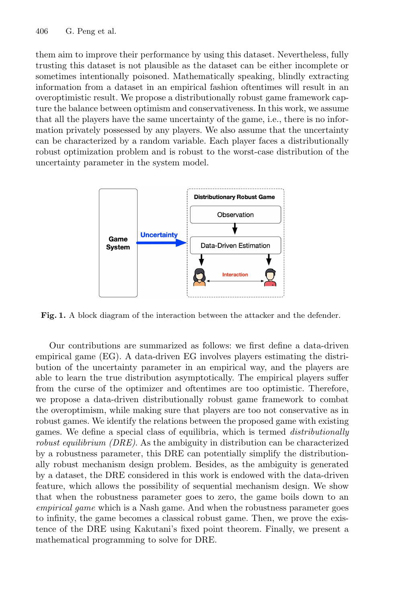them aim to improve their performance by using this dataset. Nevertheless, fully trusting this dataset is not plausible as the dataset can be either incomplete or sometimes intentionally poisoned. Mathematically speaking, blindly extracting information from a dataset in an empirical fashion oftentimes will result in an overoptimistic result. We propose a distributionally robust game framework capture the balance between optimism and conservativeness. In this work, we assume that all the players have the same uncertainty of the game, i.e., there is no information privately possessed by any players. We also assume that the uncertainty can be characterized by a random variable. Each player faces a distributionally robust optimization problem and is robust to the worst-case distribution of the uncertainty parameter in the system model.



<span id="page-1-0"></span>**Fig. 1.** A block diagram of the interaction between the attacker and the defender.

Our contributions are summarized as follows: we first define a data-driven empirical game (EG). A data-driven EG involves players estimating the distribution of the uncertainty parameter in an empirical way, and the players are able to learn the true distribution asymptotically. The empirical players suffer from the curse of the optimizer and oftentimes are too optimistic. Therefore, we propose a data-driven distributionally robust game framework to combat the overoptimism, while making sure that players are too not conservative as in robust games. We identify the relations between the proposed game with existing games. We define a special class of equilibria, which is termed *distributionally robust equilibrium (DRE)*. As the ambiguity in distribution can be characterized by a robustness parameter, this DRE can potentially simplify the distributionally robust mechanism design problem. Besides, as the ambiguity is generated by a dataset, the DRE considered in this work is endowed with the data-driven feature, which allows the possibility of sequential mechanism design. We show that when the robustness parameter goes to zero, the game boils down to an *empirical game* which is a Nash game. And when the robustness parameter goes to infinity, the game becomes a classical robust game. Then, we prove the existence of the DRE using Kakutani's fixed point theorem. Finally, we present a mathematical programming to solve for DRE.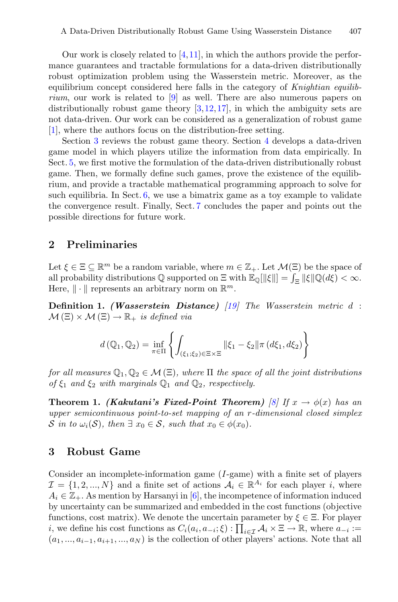Our work is closely related to  $[4,11]$  $[4,11]$ , in which the authors provide the performance guarantees and tractable formulations for a data-driven distributionally robust optimization problem using the Wasserstein metric. Moreover, as the equilibrium concept considered here falls in the category of *Knightian equilibrium*, our work is related to [\[9](#page-16-7)] as well. There are also numerous papers on distributionally robust game theory  $[3,12,17]$  $[3,12,17]$  $[3,12,17]$  $[3,12,17]$ , in which the ambiguity sets are not data-driven. Our work can be considered as a generalization of robust game [\[1](#page-16-11)], where the authors focus on the distribution-free setting.

Section [3](#page-2-0) reviews the robust game theory. Section [4](#page-4-0) develops a data-driven game model in which players utilize the information from data empirically. In Sect. [5,](#page-5-0) we first motive the formulation of the data-driven distributionally robust game. Then, we formally define such games, prove the existence of the equilibrium, and provide a tractable mathematical programming approach to solve for such equilibria. In Sect. [6,](#page-14-0) we use a bimatrix game as a toy example to validate the convergence result. Finally, Sect. [7](#page-15-0) concludes the paper and points out the possible directions for future work.

#### **2 Preliminaries**

Let  $\xi \in \Xi \subseteq \mathbb{R}^m$  be a random variable, where  $m \in \mathbb{Z}_+$ . Let  $\mathcal{M}(\Xi)$  be the space of all probability distributions  $\mathbb{Q}$  supported on  $\Xi$  with  $\mathbb{E}_{\mathbb{Q}}[\|\xi\|] = \int_{\Xi} \|\xi\| \mathbb{Q}(d\xi) < \infty$ . Here,  $\|\cdot\|$  represents an arbitrary norm on  $\mathbb{R}^m$ .

**Definition 1.** *(Wasserstein Distance) [\[19\]](#page-16-12) The Wasserstein metric* d :  $\mathcal{M}(\Xi) \times \mathcal{M}(\Xi) \rightarrow \mathbb{R}_+$  *is defined via* 

$$
d(\mathbb{Q}_1, \mathbb{Q}_2) = \inf_{\pi \in \Pi} \left\{ \int_{(\xi_1; \xi_2) \in \Xi \times \Xi} ||\xi_1 - \xi_2||\pi (d\xi_1, d\xi_2) \right\}
$$

*for all measures*  $\mathbb{Q}_1, \mathbb{Q}_2 \in \mathcal{M}(\Xi)$ *, where*  $\Pi$  *the space of all the joint distributions of*  $\xi_1$  *and*  $\xi_2$  *with marginals*  $\mathbb{Q}_1$  *and*  $\mathbb{Q}_2$ *, respectively.* 

**Theorem 1.** *(Kakutani's Fixed-Point Theorem) [\[8](#page-16-13)]* If  $x \to \phi(x)$  *has an upper semicontinuous point-to-set mapping of an* r*-dimensional closed simplex* S in to  $\omega_i(\mathcal{S})$ , then  $\exists x_0 \in \mathcal{S}$ , such that  $x_0 \in \phi(x_0)$ .

#### <span id="page-2-0"></span>**3 Robust Game**

Consider an incomplete-information game (*I*-game) with a finite set of players  $\mathcal{I} = \{1, 2, ..., N\}$  and a finite set of actions  $\mathcal{A}_i \in \mathbb{R}^{A_i}$  for each player i, where  $A_i \in \mathbb{Z}_+$ . As mention by Harsanyi in [\[6\]](#page-16-14), the incompetence of information induced by uncertainty can be summarized and embedded in the cost functions (objective functions, cost matrix). We denote the uncertain parameter by  $\xi \in \Xi$ . For player i, we define his cost functions as  $C_i(a_i, a_{-i}; \xi)$  :  $\prod_{i \in \mathcal{I}} A_i \times \Xi \to \mathbb{R}$ , where  $a_{-i}$  :=  $(a_1, ..., a_{i-1}, a_{i+1}, ..., a_N)$  is the collection of other players' actions. Note that all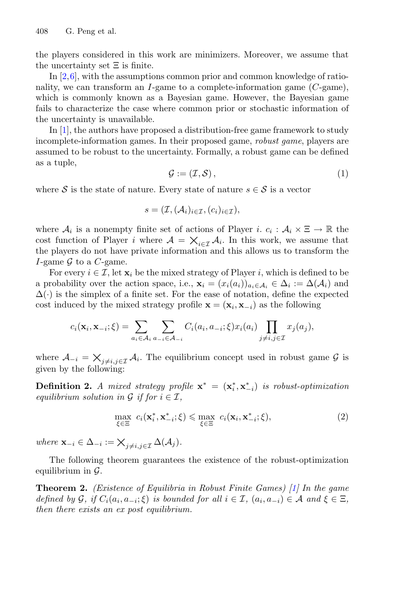the players considered in this work are minimizers. Moreover, we assume that the uncertainty set  $\Xi$  is finite.

In  $[2,6]$  $[2,6]$  $[2,6]$ , with the assumptions common prior and common knowledge of rationality, we can transform an I-game to a complete-information game  $(C\text{-game})$ , which is commonly known as a Bayesian game. However, the Bayesian game fails to characterize the case where common prior or stochastic information of the uncertainty is unavailable.

In [\[1\]](#page-16-11), the authors have proposed a distribution-free game framework to study incomplete-information games. In their proposed game, *robust game*, players are assumed to be robust to the uncertainty. Formally, a robust game can be defined as a tuple,

$$
\mathcal{G} := (\mathcal{I}, \mathcal{S}),\tag{1}
$$

where S is the state of nature. Every state of nature  $s \in \mathcal{S}$  is a vector

$$
s = (\mathcal{I}, (\mathcal{A}_i)_{i \in \mathcal{I}}, (c_i)_{i \in \mathcal{I}}),
$$

where  $\mathcal{A}_i$  is a nonempty finite set of actions of Player i.  $c_i : \mathcal{A}_i \times \Xi \to \mathbb{R}$  the cost function of Player i where  $A = \bigtimes_{i \in \mathcal{I}} A_i$ . In this work, we assume that the players do not have private information and this allows us to transform the I-game  $\mathcal G$  to a C-game.

For every  $i \in \mathcal{I}$ , let  $\mathbf{x}_i$  be the mixed strategy of Player i, which is defined to be a probability over the action space, i.e.,  $\mathbf{x}_i = (x_i(a_i))_{a_i \in \mathcal{A}_i} \in \Delta_i := \Delta(\mathcal{A}_i)$  and  $\Delta(\cdot)$  is the simplex of a finite set. For the ease of notation, define the expected cost induced by the mixed strategy profile  $\mathbf{x} = (\mathbf{x}_i, \mathbf{x}_{-i})$  as the following

$$
c_i(\mathbf{x}_i, \mathbf{x}_{-i}; \xi) = \sum_{a_i \in \mathcal{A}_i} \sum_{a_{-i} \in \mathcal{A}_{-i}} C_i(a_i, a_{-i}; \xi) x_i(a_i) \prod_{j \neq i, j \in \mathcal{I}} x_j(a_j),
$$

where  $\mathcal{A}_{-i} = \bigtimes_{j \neq i, j \in \mathcal{I}} \mathcal{A}_i$ . The equilibrium concept used in robust game  $\mathcal{G}$  is given by the following:

**Definition 2.** *A* mixed strategy profile  $\mathbf{x}^* = (\mathbf{x}_i^*, \mathbf{x}_{-i}^*)$  is robust-optimization *equilibrium solution in*  $G$  *if for*  $i \in \mathcal{I}$ ,

$$
\max_{\xi \in \Xi} c_i(\mathbf{x}_i^*, \mathbf{x}_{-i}^*, \xi) \le \max_{\xi \in \Xi} c_i(\mathbf{x}_i, \mathbf{x}_{-i}^*, \xi),
$$
\n(2)

*where*  $\mathbf{x}_{-i} \in \Delta_{-i} := \bigtimes_{j \neq i, j \in \mathcal{I}} \Delta(\mathcal{A}_j)$ *.* 

The following theorem guarantees the existence of the robust-optimization equilibrium in  $\mathcal{G}$ .

**Theorem 2.** *(Existence of Equilibria in Robust Finite Games) [\[1\]](#page-16-11) In the game defined by* G, if  $C_i(a_i, a_{-i}; \xi)$  *is bounded for all*  $i \in \mathcal{I}$ ,  $(a_i, a_{-i}) \in \mathcal{A}$  *and*  $\xi \in \Xi$ , *then there exists an ex post equilibrium.*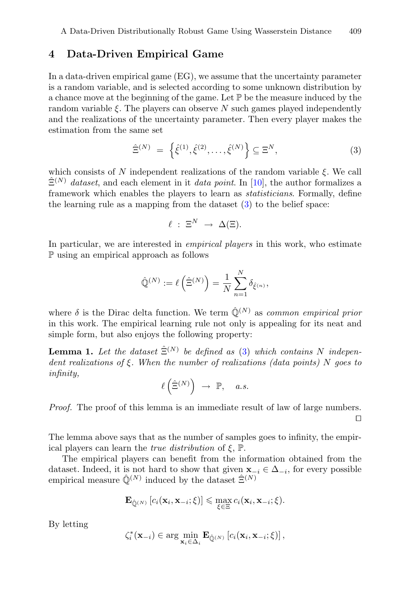### <span id="page-4-0"></span>**4 Data-Driven Empirical Game**

In a data-driven empirical game (EG), we assume that the uncertainty parameter is a random variable, and is selected according to some unknown distribution by a chance move at the beginning of the game. Let P be the measure induced by the random variable  $\xi$ . The players can observe N such games played independently and the realizations of the uncertainty parameter. Then every player makes the estimation from the same set

<span id="page-4-1"></span>
$$
\hat{\Xi}^{(N)} = \left\{ \hat{\xi}^{(1)}, \hat{\xi}^{(2)}, \dots, \hat{\xi}^{(N)} \right\} \subseteq \Xi^N,
$$
\n(3)

which consists of N independent realizations of the random variable  $\xi$ . We call  $\hat{\Xi}^{(N)}$  *dataset*, and each element in it *data point*. In [\[10](#page-16-16)], the author formalizes a framework which enables the players to learn as *statisticians*. Formally, define the learning rule as a mapping from the dataset [\(3\)](#page-4-1) to the belief space:

$$
\ell \; : \; \Xi^N \; \rightarrow \; \Delta(\Xi).
$$

In particular, we are interested in *empirical players* in this work, who estimate P using an empirical approach as follows

$$
\hat{\mathbb{Q}}^{(N)} := \ell\left(\hat{\Xi}^{(N)}\right) = \frac{1}{N} \sum_{n=1}^{N} \delta_{\hat{\xi}^{(n)}},
$$

where  $\delta$  is the Dirac delta function. We term  $\hat{\mathbb{Q}}^{(N)}$  as *common empirical prior* in this work. The empirical learning rule not only is appealing for its neat and simple form, but also enjoys the following property:

**Lemma 1.** Let the dataset  $\hat{\Xi}^{(N)}$  be defined as [\(3\)](#page-4-1) which contains N indepen*dent realizations of* ξ*. When the number of realizations (data points)* N *goes to infinity,*

$$
\ell\left(\hat{\Xi}^{(N)}\right) \ \to \ \mathbb{P}, \quad a.s.
$$

*Proof.* The proof of this lemma is an immediate result of law of large numbers.  $\Box$ 

The lemma above says that as the number of samples goes to infinity, the empirical players can learn the *true distribution* of ξ, P.

The empirical players can benefit from the information obtained from the dataset. Indeed, it is not hard to show that given  $\mathbf{x}_{-i} \in \Delta_{-i}$ , for every possible empirical measure  $\hat{\mathbb{Q}}^{(N)}$  induced by the dataset  $\hat{\Xi}^{(N)}$ 

$$
\mathbf{E}_{\hat{\mathbb{Q}}^{(N)}}\left[c_i(\mathbf{x}_i,\mathbf{x}_{-i};\xi)\right] \leq \max_{\xi \in \Xi} c_i(\mathbf{x}_i,\mathbf{x}_{-i};\xi).
$$

By letting

$$
\zeta_i^*(\mathbf{x}_{-i}) \in \arg\min_{\mathbf{x}_i \in \Delta_i} \mathbf{E}_{\hat{\mathbb{Q}}^{(N)}}\left[c_i(\mathbf{x}_i, \mathbf{x}_{-i}; \xi)\right],
$$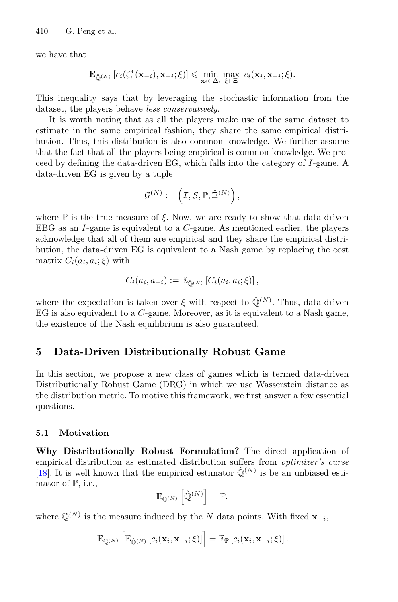we have that

$$
\mathbf{E}_{\hat{\mathbb{Q}}^{(N)}}\left[c_i(\zeta_i^*(\mathbf{x}_{-i}),\mathbf{x}_{-i};\xi)\right] \leq \min_{\mathbf{x}_i \in \Delta_i} \max_{\xi \in \Xi} c_i(\mathbf{x}_i,\mathbf{x}_{-i};\xi).
$$

This inequality says that by leveraging the stochastic information from the dataset, the players behave *less conservatively*.

It is worth noting that as all the players make use of the same dataset to estimate in the same empirical fashion, they share the same empirical distribution. Thus, this distribution is also common knowledge. We further assume that the fact that all the players being empirical is common knowledge. We proceed by defining the data-driven EG, which falls into the category of *I*-game. A data-driven EG is given by a tuple

$$
\mathcal{G}^{(N)}:=\left(\mathcal{I},\mathcal{S},\mathbb{P},\hat{\Xi}^{(N)}\right),
$$

where  $\mathbb P$  is the true measure of  $\xi$ . Now, we are ready to show that data-driven EBG as an *I*-game is equivalent to a C-game. As mentioned earlier, the players acknowledge that all of them are empirical and they share the empirical distribution, the data-driven EG is equivalent to a Nash game by replacing the cost matrix  $C_i(a_i, a_i; \xi)$  with

$$
\tilde{C}_i(a_i,a_{-i}) := \mathbb{E}_{\hat{\mathbb{Q}}^{(N)}}\left[C_i(a_i,a_i;\xi)\right],
$$

where the expectation is taken over  $\xi$  with respect to  $\hat{\mathbb{Q}}^{(N)}$ . Thus, data-driven EG is also equivalent to a  $C$ -game. Moreover, as it is equivalent to a Nash game, the existence of the Nash equilibrium is also guaranteed.

#### <span id="page-5-0"></span>**5 Data-Driven Distributionally Robust Game**

In this section, we propose a new class of games which is termed data-driven Distributionally Robust Game (DRG) in which we use Wasserstein distance as the distribution metric. To motive this framework, we first answer a few essential questions.

#### **5.1 Motivation**

**Why Distributionally Robust Formulation?** The direct application of empirical distribution as estimated distribution suffers from *optimizer's curse* [\[18](#page-16-17)]. It is well known that the empirical estimator  $\hat{\mathbb{O}}^{(N)}$  is be an unbiased estimator of  $\mathbb{P}$ , i.e.,

$$
\mathbb{E}_{\mathbb{Q}^{(N)}}\left[\hat{\mathbb{Q}}^{(N)}\right]=\mathbb{P}.
$$

where  $\mathbb{Q}^{(N)}$  is the measure induced by the N data points. With fixed **x**<sub>−i</sub>,

$$
\mathbb{E}_{\mathbb{Q}^{(N)}}\left[\mathbb{E}_{\hat{\mathbb{Q}}^{(N)}}\left[c_i(\mathbf{x}_i,\mathbf{x}_{-i};\xi)\right]\right]=\mathbb{E}_{\mathbb{P}}\left[c_i(\mathbf{x}_i,\mathbf{x}_{-i};\xi)\right].
$$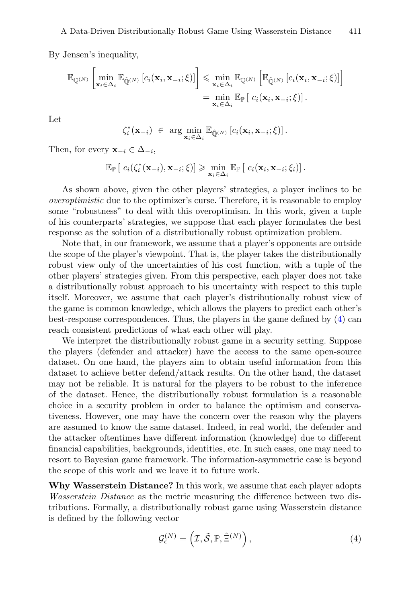By Jensen's inequality,

$$
\mathbb{E}_{\mathbb{Q}^{(N)}}\left[\min_{\mathbf{x}_i \in \Delta_i} \mathbb{E}_{\hat{\mathbb{Q}}^{(N)}}\left[c_i(\mathbf{x}_i, \mathbf{x}_{-i}; \xi)\right]\right] \leq \min_{\mathbf{x}_i \in \Delta_i} \mathbb{E}_{\mathbb{Q}^{(N)}}\left[\mathbb{E}_{\hat{\mathbb{Q}}^{(N)}}\left[c_i(\mathbf{x}_i, \mathbf{x}_{-i}; \xi)\right]\right]
$$
  
= 
$$
\min_{\mathbf{x}_i \in \Delta_i} \mathbb{E}_{\mathbb{P}}\left[c_i(\mathbf{x}_i, \mathbf{x}_{-i}; \xi)\right].
$$

Let

$$
\zeta_i^*(\mathbf{x}_{-i}) \in \arg\min_{\mathbf{x}_i \in \Delta_i} \mathbb{E}_{\hat{\mathbb{Q}}^{(N)}} \left[ c_i(\mathbf{x}_i, \mathbf{x}_{-i}; \xi) \right].
$$

Then, for every  $\mathbf{x}_{-i} \in \Delta_{-i}$ ,

$$
\mathbb{E}_{\mathbb{P}}\left[\ c_i(\zeta_i^*(\mathbf{x}_{-i}),\mathbf{x}_{-i};\xi)\right] \geqslant \min_{\mathbf{x}_i\in\Delta_i} \mathbb{E}_{\mathbb{P}}\left[\ c_i(\mathbf{x}_i,\mathbf{x}_{-i};\xi_i)\right].
$$

As shown above, given the other players' strategies, a player inclines to be *overoptimistic* due to the optimizer's curse. Therefore, it is reasonable to employ some "robustness" to deal with this overoptimism. In this work, given a tuple of his counterparts' strategies, we suppose that each player formulates the best response as the solution of a distributionally robust optimization problem.

Note that, in our framework, we assume that a player's opponents are outside the scope of the player's viewpoint. That is, the player takes the distributionally robust view only of the uncertainties of his cost function, with a tuple of the other players' strategies given. From this perspective, each player does not take a distributionally robust approach to his uncertainty with respect to this tuple itself. Moreover, we assume that each player's distributionally robust view of the game is common knowledge, which allows the players to predict each other's best-response correspondences. Thus, the players in the game defined by [\(4\)](#page-6-0) can reach consistent predictions of what each other will play.

We interpret the distributionally robust game in a security setting. Suppose the players (defender and attacker) have the access to the same open-source dataset. On one hand, the players aim to obtain useful information from this dataset to achieve better defend/attack results. On the other hand, the dataset may not be reliable. It is natural for the players to be robust to the inference of the dataset. Hence, the distributionally robust formulation is a reasonable choice in a security problem in order to balance the optimism and conservativeness. However, one may have the concern over the reason why the players are assumed to know the same dataset. Indeed, in real world, the defender and the attacker oftentimes have different information (knowledge) due to different financial capabilities, backgrounds, identities, etc. In such cases, one may need to resort to Bayesian game framework. The information-asymmetric case is beyond the scope of this work and we leave it to future work.

**Why Wasserstein Distance?** In this work, we assume that each player adopts *Wasserstein Distance* as the metric measuring the difference between two distributions. Formally, a distributionally robust game using Wasserstein distance is defined by the following vector

<span id="page-6-0"></span>
$$
\mathcal{G}_{\epsilon}^{(N)} = \left(\mathcal{I}, \tilde{\mathcal{S}}, \mathbb{P}, \hat{\Xi}^{(N)}\right),\tag{4}
$$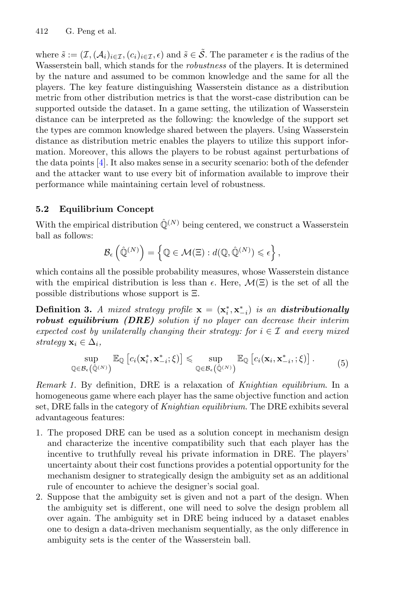where  $\tilde{s} := (\mathcal{I},(\mathcal{A}_i)_{i \in \mathcal{I}},(c_i)_{i \in \mathcal{I}},\epsilon)$  and  $\tilde{s} \in \tilde{\mathcal{S}}$ . The parameter  $\epsilon$  is the radius of the Wasserstein ball, which stands for the *robustness* of the players. It is determined by the nature and assumed to be common knowledge and the same for all the players. The key feature distinguishing Wasserstein distance as a distribution metric from other distribution metrics is that the worst-case distribution can be supported outside the dataset. In a game setting, the utilization of Wasserstein distance can be interpreted as the following: the knowledge of the support set the types are common knowledge shared between the players. Using Wasserstein distance as distribution metric enables the players to utilize this support information. Moreover, this allows the players to be robust against perturbations of the data points [\[4](#page-16-3)]. It also makes sense in a security scenario: both of the defender and the attacker want to use every bit of information available to improve their performance while maintaining certain level of robustness.

## **5.2 Equilibrium Concept**

With the empirical distribution  $\hat{\mathbb{O}}^{(N)}$  being centered, we construct a Wasserstein ball as follows:

$$
\mathcal{B}_{\epsilon}\left(\hat{\mathbb{Q}}^{(N)}\right) = \left\{\mathbb{Q} \in \mathcal{M}(\Xi): d(\mathbb{Q},\hat{\mathbb{Q}}^{(N)}) \leqslant \epsilon\right\},
$$

which contains all the possible probability measures, whose Wasserstein distance with the empirical distribution is less than  $\epsilon$ . Here,  $\mathcal{M}(\Xi)$  is the set of all the possible distributions whose support is Ξ.

**Definition 3.** *A mixed strategy profile*  $\mathbf{x} = (\mathbf{x}_i^*, \mathbf{x}_{-i}^*)$  *is an distributionally robust equilibrium (DRE) solution if no player can decrease their interim expected cost by unilaterally changing their strategy: for*  $i \in I$  *and every mixed*  $strategy \mathbf{x}_i \in \Delta_i$ 

<span id="page-7-0"></span>
$$
\sup_{\mathbb{Q}\in\mathcal{B}_{\epsilon}(\hat{\mathbb{Q}}^{(N)})} \mathbb{E}_{\mathbb{Q}}\left[c_i(\mathbf{x}_i^*, \mathbf{x}_{-i}^*; \xi)\right] \leq \sup_{\mathbb{Q}\in\mathcal{B}_{\epsilon}(\hat{\mathbb{Q}}^{(N)})} \mathbb{E}_{\mathbb{Q}}\left[c_i(\mathbf{x}_i, \mathbf{x}_{-i}^*; \xi)\right].
$$
\n(5)

*Remark 1.* By definition, DRE is a relaxation of *Knightian equilibrium*. In a homogeneous game where each player has the same objective function and action set, DRE falls in the category of *Knightian equilibrium*. The DRE exhibits several advantageous features:

- 1. The proposed DRE can be used as a solution concept in mechanism design and characterize the incentive compatibility such that each player has the incentive to truthfully reveal his private information in DRE. The players' uncertainty about their cost functions provides a potential opportunity for the mechanism designer to strategically design the ambiguity set as an additional rule of encounter to achieve the designer's social goal.
- 2. Suppose that the ambiguity set is given and not a part of the design. When the ambiguity set is different, one will need to solve the design problem all over again. The ambiguity set in DRE being induced by a dataset enables one to design a data-driven mechanism sequentially, as the only difference in ambiguity sets is the center of the Wasserstein ball.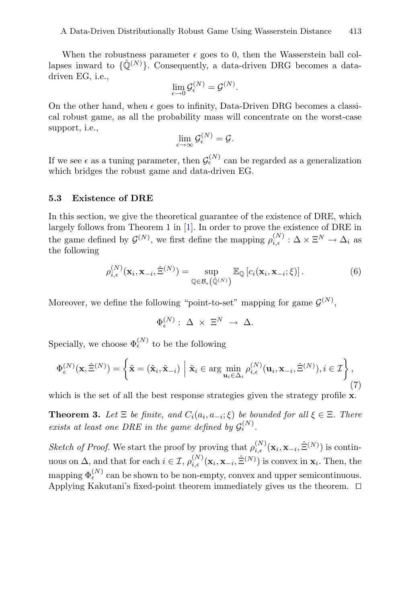When the robustness parameter  $\epsilon$  goes to 0, then the Wasserstein ball collapses inward to  $\{\hat{\mathbb{Q}}^{(N)}\}$ . Consequently, a data-driven DRG becomes a datadriven EG, i.e.,

$$
\lim_{\epsilon \to 0} \mathcal{G}_{\epsilon}^{(N)} = \mathcal{G}^{(N)}.
$$

On the other hand, when  $\epsilon$  goes to infinity, Data-Driven DRG becomes a classical robust game, as all the probability mass will concentrate on the worst-case support, i.e.,

$$
\lim_{\epsilon \to \infty} \mathcal{G}_{\epsilon}^{(N)} = \mathcal{G}.
$$

If we see  $\epsilon$  as a tuning parameter, then  $\mathcal{G}_{\epsilon}^{(N)}$  can be regarded as a generalization which bridges the robust game and data-driven EG.

#### **5.3 Existence of DRE**

In this section, we give the theoretical guarantee of the existence of DRE, which largely follows from Theorem 1 in [\[1\]](#page-16-11). In order to prove the existence of DRE in the game defined by  $\mathcal{G}^{(N)}$ , we first define the mapping  $\rho_{i,\epsilon}^{(N)} : \Delta \times \Xi^N \to \Delta_i$  as the following

<span id="page-8-1"></span>
$$
\rho_{i,\epsilon}^{(N)}(\mathbf{x}_i,\mathbf{x}_{-i},\hat{\Xi}^{(N)}) = \sup_{\mathbb{Q}\in\mathcal{B}_{\epsilon}(\hat{\mathbb{Q}}^{(N)})} \mathbb{E}_{\mathbb{Q}}\left[c_i(\mathbf{x}_i,\mathbf{x}_{-i};\xi)\right].
$$
\n(6)

Moreover, we define the following "point-to-set" mapping for game  $\mathcal{G}^{(N)}$ ,

$$
\Phi_{\epsilon}^{(N)}: \; \Delta \; \times \; \Xi^N \; \rightarrow \; \Delta.
$$

Specially, we choose  $\Phi_{\epsilon}^{(N)}$  to be the following

<span id="page-8-2"></span>
$$
\Phi_{\epsilon}^{(N)}(\mathbf{x}, \hat{\Xi}^{(N)}) = \left\{ \tilde{\mathbf{x}} = (\tilde{\mathbf{x}}_i, \tilde{\mathbf{x}}_{-i}) \middle| \tilde{\mathbf{x}}_i \in \arg\min_{\mathbf{u}_i \in \Delta_i} \rho_{i,\epsilon}^{(N)}(\mathbf{u}_i, \mathbf{x}_{-i}, \hat{\Xi}^{(N)}), i \in \mathcal{I} \right\},\tag{7}
$$

<span id="page-8-0"></span>which is the set of all the best response strategies given the strategy profile **x**.

**Theorem 3.** Let  $\Xi$  be finite, and  $C_i(a_i, a_{-i}; \xi)$  be bounded for all  $\xi \in \Xi$ . There *exists at least one DRE in the game defined by*  $\mathcal{G}_{\epsilon}^{(N)}$ .

*Sketch of Proof.* We start the proof by proving that  $\rho_{i,\epsilon}^{(N)}(\mathbf{x}_i, \mathbf{x}_{-i}, \hat{\Xi}^{(N)})$  is continuous on  $\Delta$ , and that for each  $i \in \mathcal{I}$ ,  $\rho_{i,\epsilon}^{(N)}(\mathbf{x}_i, \mathbf{x}_{-i}, \hat{\Xi}^{(N)})$  is convex in  $\mathbf{x}_i$ . Then, the mapping  $\Phi_{\epsilon}^{(N)}$  can be shown to be non-empty, convex and upper semicontinuous. Applying Kakutani's fixed-point theorem immediately gives us the theorem.  $\Box$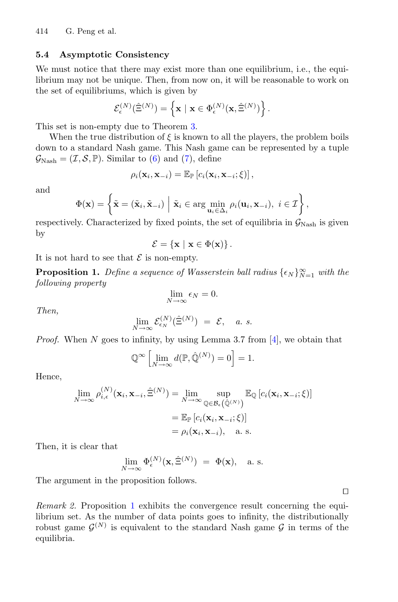#### **5.4 Asymptotic Consistency**

We must notice that there may exist more than one equilibrium, i.e., the equilibrium may not be unique. Then, from now on, it will be reasonable to work on the set of equilibriums, which is given by

$$
\mathcal{E}_{\epsilon}^{(N)}(\hat{\Xi}^{(N)}) = \left\{ \mathbf{x} \mid \mathbf{x} \in \Phi_{\epsilon}^{(N)}(\mathbf{x}, \hat{\Xi}^{(N)}) \right\}.
$$

This set is non-empty due to Theorem [3.](#page-8-0)

When the true distribution of  $\xi$  is known to all the players, the problem boils down to a standard Nash game. This Nash game can be represented by a tuple  $\mathcal{G}_{\text{Nash}} = (\mathcal{I}, \mathcal{S}, \mathbb{P})$ . Similar to [\(6\)](#page-8-1) and [\(7\)](#page-8-2), define

$$
\rho_i(\mathbf{x}_i, \mathbf{x}_{-i}) = \mathbb{E}_{\mathbb{P}}\left[c_i(\mathbf{x}_i, \mathbf{x}_{-i}; \xi)\right],
$$

and

$$
\Phi(\mathbf{x}) = \left\{ \tilde{\mathbf{x}} = (\tilde{\mathbf{x}}_i, \tilde{\mathbf{x}}_{-i}) \middle| \tilde{\mathbf{x}}_i \in \arg\min_{\mathbf{u}_i \in \Delta_i} \rho_i(\mathbf{u}_i, \mathbf{x}_{-i}), \ i \in \mathcal{I} \right\},\
$$

respectively. Characterized by fixed points, the set of equilibria in  $\mathcal{G}_{\text{Nash}}$  is given by

$$
\mathcal{E} = \{ \mathbf{x} \mid \mathbf{x} \in \Phi(\mathbf{x}) \}.
$$

<span id="page-9-0"></span>It is not hard to see that  $\mathcal E$  is non-empty.

**Proposition 1.** *Define a sequence of Wasserstein ball radius*  $\{\epsilon_N\}_{N=1}^{\infty}$  *with the following property*

$$
\lim_{N \to \infty} \epsilon_N = 0.
$$

*Then,*

$$
\lim_{N \to \infty} \mathcal{E}_{\epsilon_N}^{(N)}(\hat{\Xi}^{(N)}) = \mathcal{E}, \quad a. s.
$$

*Proof.* When N goes to infinity, by using Lemma 3.7 from [\[4](#page-16-3)], we obtain that

$$
\mathbb{Q}^{\infty}\left[\lim_{N\to\infty}d(\mathbb{P},\hat{\mathbb{Q}}^{(N)})=0\right]=1.
$$

Hence,

$$
\lim_{N \to \infty} \rho_{i,\epsilon}^{(N)}(\mathbf{x}_i, \mathbf{x}_{-i}, \hat{\Xi}^{(N)}) = \lim_{N \to \infty} \sup_{\mathbb{Q} \in \mathcal{B}_{\epsilon}(\hat{\mathbb{Q}}^{(N)})} \mathbb{E}_{\mathbb{Q}} [c_i(\mathbf{x}_i, \mathbf{x}_{-i}; \xi)]
$$
\n
$$
= \mathbb{E}_{\mathbb{P}} [c_i(\mathbf{x}_i, \mathbf{x}_{-i}; \xi)]
$$
\n
$$
= \rho_i(\mathbf{x}_i, \mathbf{x}_{-i}), \quad \text{a. s.}
$$

Then, it is clear that

$$
\lim_{N \to \infty} \Phi_{\epsilon}^{(N)}(\mathbf{x}, \hat{\Xi}^{(N)}) = \Phi(\mathbf{x}), \quad \text{a. s.}
$$

The argument in the proposition follows.

*Remark 2.* Proposition [1](#page-9-0) exhibits the convergence result concerning the equilibrium set. As the number of data points goes to infinity, the distributionally robust game  $\mathcal{G}^{(N)}$  is equivalent to the standard Nash game  $\mathcal{G}$  in terms of the equilibria.

 $\Box$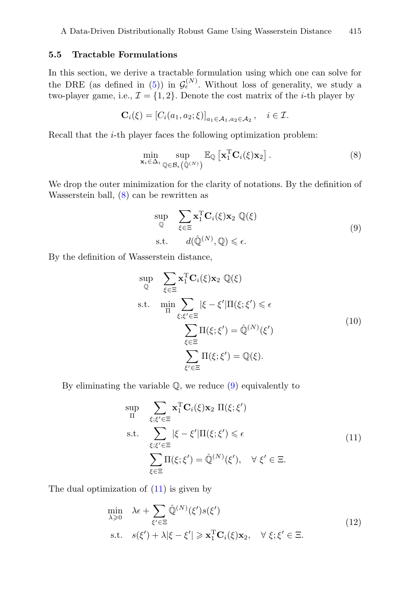#### **5.5 Tractable Formulations**

In this section, we derive a tractable formulation using which one can solve for the DRE (as defined in [\(5\)](#page-7-0)) in  $\mathcal{G}_{\epsilon}^{(N)}$ . Without loss of generality, we study a two-player game, i.e.,  $\mathcal{I} = \{1, 2\}$ . Denote the cost matrix of the *i*-th player by

$$
\mathbf{C}_i(\xi) = [C_i(a_1, a_2; \xi)]_{a_1 \in \mathcal{A}_1, a_2 \in \mathcal{A}_2}, \quad i \in \mathcal{I}.
$$

Recall that the *i*-th player faces the following optimization problem:

<span id="page-10-0"></span>
$$
\min_{\mathbf{x}_i \in \Delta_i} \sup_{\mathbb{Q} \in \mathcal{B}_{\epsilon}(\hat{\mathbb{Q}}^{(N)})} \mathbb{E}_{\mathbb{Q}}\left[\mathbf{x}_1^{\mathrm{T}} \mathbf{C}_i(\xi) \mathbf{x}_2\right]. \tag{8}
$$

We drop the outer minimization for the clarity of notations. By the definition of Wasserstein ball, [\(8\)](#page-10-0) can be rewritten as

<span id="page-10-1"></span>
$$
\sup_{\mathbb{Q}} \sum_{\xi \in \Xi} \mathbf{x}_1^{\mathrm{T}} \mathbf{C}_i(\xi) \mathbf{x}_2 \mathbb{Q}(\xi)
$$
  
s.t.  $d(\hat{\mathbb{Q}}^{(N)}, \mathbb{Q}) \le \epsilon.$  (9)

By the definition of Wasserstein distance,

$$
\sup_{\mathbb{Q}} \sum_{\xi \in \Xi} \mathbf{x}_1^{\mathrm{T}} \mathbf{C}_i(\xi) \mathbf{x}_2 \mathbb{Q}(\xi)
$$
\n
$$
\text{s.t.} \quad \min_{\Pi} \sum_{\xi; \xi' \in \Xi} |\xi - \xi'| \Pi(\xi; \xi') \leq \epsilon
$$
\n
$$
\sum_{\xi \in \Xi} \Pi(\xi; \xi') = \hat{\mathbb{Q}}^{(N)}(\xi')
$$
\n
$$
\sum_{\xi' \in \Xi} \Pi(\xi; \xi') = \mathbb{Q}(\xi).
$$
\n(10)

By eliminating the variable  $\mathbb{Q}$ , we reduce  $(9)$  equivalently to

<span id="page-10-2"></span>
$$
\sup_{\Pi} \sum_{\xi; \xi' \in \Xi} \mathbf{x}_1^{\mathrm{T}} \mathbf{C}_i(\xi) \mathbf{x}_2 \Pi(\xi; \xi')
$$
  
s.t. 
$$
\sum_{\xi; \xi' \in \Xi} |\xi - \xi'| \Pi(\xi; \xi') \le \epsilon
$$

$$
\sum_{\xi \in \Xi} \Pi(\xi; \xi') = \hat{\mathbb{Q}}^{(N)}(\xi'), \quad \forall \xi' \in \Xi.
$$
 (11)

The dual optimization of  $(11)$  is given by

<span id="page-10-3"></span>
$$
\min_{\lambda \geq 0} \quad \lambda \epsilon + \sum_{\xi' \in \Xi} \hat{\mathbb{Q}}^{(N)}(\xi') s(\xi')
$$
\n
$$
\text{s.t.} \quad s(\xi') + \lambda |\xi - \xi'| \geq \mathbf{x}_1^{\text{T}} \mathbf{C}_i(\xi) \mathbf{x}_2, \quad \forall \xi; \xi' \in \Xi. \tag{12}
$$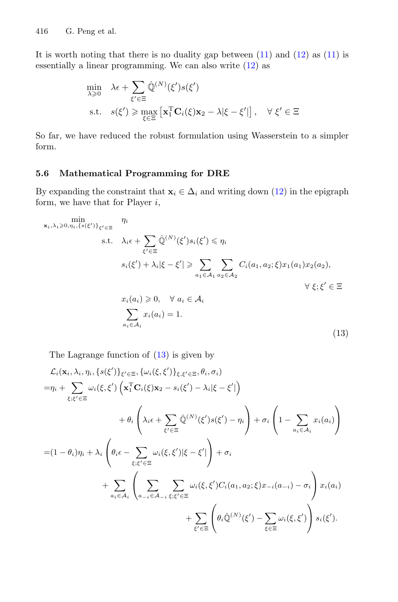It is worth noting that there is no duality gap between  $(11)$  and  $(12)$  as  $(11)$  is essentially a linear programming. We can also write [\(12\)](#page-10-3) as

$$
\min_{\lambda \geq 0} \quad \lambda \epsilon + \sum_{\xi' \in \Xi} \hat{\mathbb{Q}}^{(N)}(\xi') s(\xi')
$$
\n
$$
\text{s.t.} \quad s(\xi') \geq \max_{\xi \in \Xi} \left[ \mathbf{x}_1^{\mathrm{T}} \mathbf{C}_i(\xi) \mathbf{x}_2 - \lambda |\xi - \xi'| \right], \quad \forall \xi' \in \Xi
$$

So far, we have reduced the robust formulation using Wasserstein to a simpler form.

#### **5.6 Mathematical Programming for DRE**

By expanding the constraint that  $\mathbf{x}_i \in \Delta_i$  and writing down [\(12\)](#page-10-3) in the epigraph form, we have that for Player  $i$ ,

<span id="page-11-0"></span>
$$
\min_{\mathbf{x}_{i},\lambda_{i}\geqslant0,\eta_{i},\{s(\xi')\}_{\xi'\in\Xi}}\eta_{i}
$$
\n
$$
\text{s.t. }\lambda_{i}\epsilon+\sum_{\xi'\in\Xi}\hat{\mathbb{Q}}^{(N)}(\xi')s_{i}(\xi')\leqslant\eta_{i}
$$
\n
$$
s_{i}(\xi')+\lambda_{i}|\xi-\xi'|\geqslant\sum_{a_{1}\in\mathcal{A}_{1}}\sum_{a_{2}\in\mathcal{A}_{2}}C_{i}(a_{1},a_{2};\xi)x_{1}(a_{1})x_{2}(a_{2}),
$$
\n
$$
\forall \xi;\xi'\in\Xi
$$
\n
$$
x_{i}(a_{i})\geqslant0, \quad \forall a_{i}\in\mathcal{A}_{i}
$$
\n
$$
\sum_{a_{i}\in\mathcal{A}_{i}}x_{i}(a_{i})=1.
$$
\n
$$
(13)
$$

The Lagrange function of [\(13\)](#page-11-0) is given by

$$
\mathcal{L}_{i}(\mathbf{x}_{i}, \lambda_{i}, \eta_{i}, \{s(\xi')\}_{\xi' \in \Xi}, \{\omega_{i}(\xi, \xi')\}_{\xi, \xi' \in \Xi}, \theta_{i}, \sigma_{i})
$$
\n
$$
= \eta_{i} + \sum_{\xi; \xi' \in \Xi} \omega_{i}(\xi, \xi') \left(\mathbf{x}_{1}^{T} \mathbf{C}_{i}(\xi) \mathbf{x}_{2} - s_{i}(\xi') - \lambda_{i}|\xi - \xi'|\right)
$$
\n
$$
+ \theta_{i} \left(\lambda_{i}\epsilon + \sum_{\xi' \in \Xi} \hat{\mathbb{Q}}^{(N)}(\xi')s(\xi') - \eta_{i}\right) + \sigma_{i} \left(1 - \sum_{a_{i} \in \mathcal{A}_{i}} x_{i}(a_{i})\right)
$$
\n
$$
= (1 - \theta_{i})\eta_{i} + \lambda_{i} \left(\theta_{i}\epsilon - \sum_{\xi; \xi' \in \Xi} \omega_{i}(\xi, \xi')|\xi - \xi'|\right) + \sigma_{i}
$$
\n
$$
+ \sum_{a_{i} \in \mathcal{A}_{i}} \left(\sum_{a_{-i} \in \mathcal{A}_{-i}} \sum_{\xi; \xi' \in \Xi} \omega_{i}(\xi, \xi')C_{i}(a_{1}, a_{2}; \xi)x_{-i}(a_{-i}) - \sigma_{i}\right)x_{i}(a_{i})
$$
\n
$$
+ \sum_{\xi' \in \Xi} \left(\theta_{i}\hat{\mathbb{Q}}^{(N)}(\xi') - \sum_{\xi \in \Xi} \omega_{i}(\xi, \xi')\right)s_{i}(\xi').
$$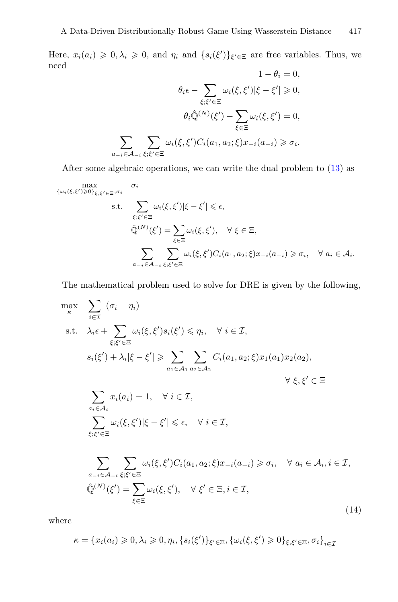Here,  $x_i(a_i) \geq 0, \lambda_i \geq 0$ , and  $\eta_i$  and  $\{s_i(\xi')\}_{\xi' \in \Xi}$  are free variables. Thus, we need

$$
1 - \theta_i = 0,
$$
  
\n
$$
\theta_i \epsilon - \sum_{\xi; \xi' \in \Xi} \omega_i(\xi, \xi') |\xi - \xi'| \ge 0,
$$
  
\n
$$
\theta_i \hat{\mathbb{Q}}^{(N)}(\xi') - \sum_{\xi \in \Xi} \omega_i(\xi, \xi') = 0,
$$
  
\n
$$
\sum_{a_{-i} \in \mathcal{A}_{-i}} \sum_{\xi; \xi' \in \Xi} \omega_i(\xi, \xi') C_i(a_1, a_2; \xi) x_{-i}(a_{-i}) \ge \sigma_i.
$$

After some algebraic operations, we can write the dual problem to [\(13\)](#page-11-0) as

$$
\max_{\{\omega_i(\xi,\xi')\geq 0\}_{\xi,\xi'\in\Xi},\sigma_i} \sigma_i
$$
\n
$$
\text{s.t.} \sum_{\xi,\xi'\in\Xi} \omega_i(\xi,\xi')|\xi-\xi'| \leq \epsilon,
$$
\n
$$
\hat{\mathbb{Q}}^{(N)}(\xi') = \sum_{\xi\in\Xi} \omega_i(\xi,\xi'), \quad \forall \xi\in\Xi,
$$
\n
$$
\sum_{a_{-i}\in\mathcal{A}_{-i}} \sum_{\xi,\xi'\in\Xi} \omega_i(\xi,\xi')C_i(a_1,a_2;\xi)x_{-i}(a_{-i}) \geq \sigma_i, \quad \forall \ a_i\in\mathcal{A}_i.
$$

The mathematical problem used to solve for DRE is given by the following,

<span id="page-12-0"></span>
$$
\max_{\kappa} \sum_{i \in \mathcal{I}} (\sigma_i - \eta_i)
$$
\n
$$
\text{s.t. } \lambda_i \epsilon + \sum_{\xi; \xi' \in \Xi} \omega_i(\xi, \xi') s_i(\xi') \leq \eta_i, \quad \forall \ i \in \mathcal{I},
$$
\n
$$
s_i(\xi') + \lambda_i |\xi - \xi'| \geqslant \sum_{a_1 \in \mathcal{A}_1} \sum_{a_2 \in \mathcal{A}_2} C_i(a_1, a_2; \xi) x_1(a_1) x_2(a_2),
$$
\n
$$
\forall \ \xi, \xi' \in \Xi
$$
\n
$$
\sum_{a_i \in \mathcal{A}_i} x_i(a_i) = 1, \quad \forall \ i \in \mathcal{I},
$$
\n
$$
\sum_{\xi; \xi' \in \Xi} \omega_i(\xi, \xi') |\xi - \xi'| \leqslant \epsilon, \quad \forall \ i \in \mathcal{I},
$$
\n
$$
\sum_{a_{-i} \in \mathcal{A}_{-i}} \sum_{\xi; \xi' \in \Xi} \omega_i(\xi, \xi') C_i(a_1, a_2; \xi) x_{-i}(a_{-i}) \geqslant \sigma_i, \quad \forall \ a_i \in \mathcal{A}_i, i \in \mathcal{I},
$$
\n
$$
\hat{\mathbb{Q}}^{(N)}(\xi') = \sum_{\xi \in \Xi} \omega_i(\xi, \xi'), \quad \forall \ \xi' \in \Xi, i \in \mathcal{I},
$$
\n
$$
(14)
$$

where

$$
\kappa = \{x_i(a_i) \geq 0, \lambda_i \geq 0, \eta_i, \{s_i(\xi')\}_{\xi' \in \Xi}, \{\omega_i(\xi, \xi') \geq 0\}_{\xi, \xi' \in \Xi}, \sigma_i\}_{i \in \mathcal{I}}
$$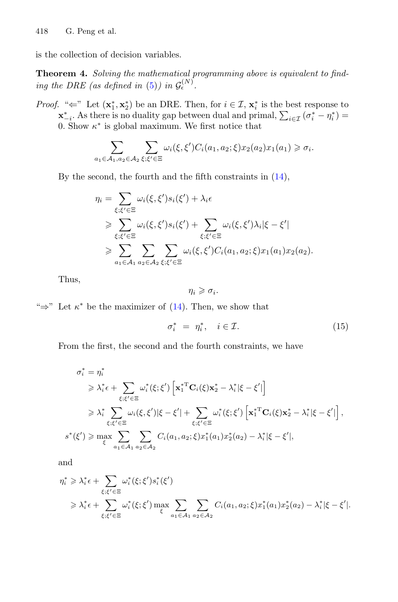is the collection of decision variables.

**Theorem 4.** *Solving the mathematical programming above is equivalent to finding the DRE (as defined in* [\(5\)](#page-7-0)) in  $\mathcal{G}_{\epsilon}^{(N)}$ .

*Proof.* " $\Leftarrow$ " Let  $(\mathbf{x}_1^*, \mathbf{x}_2^*)$  be an DRE. Then, for  $i \in \mathcal{I}, \mathbf{x}_i^*$  is the best response to  $\mathbf{x}_{-i}^*$ . As there is no duality gap between dual and primal,  $\sum_{i \in \mathcal{I}} (\sigma_i^* - \eta_i^*) =$ 0. Show  $\kappa^*$  is global maximum. We first notice that

$$
\sum_{a_1 \in \mathcal{A}_1, a_2 \in \mathcal{A}_2} \sum_{\xi; \xi' \in \Xi} \omega_i(\xi, \xi') C_i(a_1, a_2; \xi) x_2(a_2) x_1(a_1) \geq \sigma_i.
$$

By the second, the fourth and the fifth constraints in [\(14\)](#page-12-0),

$$
\eta_i = \sum_{\xi; \xi' \in \Xi} \omega_i(\xi, \xi') s_i(\xi') + \lambda_i \epsilon
$$
  
\n
$$
\geq \sum_{\xi; \xi' \in \Xi} \omega_i(\xi, \xi') s_i(\xi') + \sum_{\xi; \xi' \in \Xi} \omega_i(\xi, \xi') \lambda_i |\xi - \xi'|
$$
  
\n
$$
\geq \sum_{a_1 \in \mathcal{A}_1} \sum_{a_2 \in \mathcal{A}_2} \sum_{\xi; \xi' \in \Xi} \omega_i(\xi, \xi') C_i(a_1, a_2; \xi) x_1(a_1) x_2(a_2).
$$

Thus,

$$
\eta_i \geqslant \sigma_i.
$$

" $\Rightarrow$ " Let  $\kappa^*$  be the maximizer of [\(14\)](#page-12-0). Then, we show that

$$
\sigma_i^* = \eta_i^*, \quad i \in \mathcal{I}.\tag{15}
$$

From the first, the second and the fourth constraints, we have

$$
\sigma_i^* = \eta_i^*
$$
  
\n
$$
\geq \lambda_i^* \epsilon + \sum_{\xi; \xi' \in \Xi} \omega_i^*(\xi; \xi') \left[ \mathbf{x}_1^{*T} \mathbf{C}_i(\xi) \mathbf{x}_2^* - \lambda_i^* |\xi - \xi'| \right]
$$
  
\n
$$
\geq \lambda_i^* \sum_{\xi; \xi' \in \Xi} \omega_i(\xi, \xi') |\xi - \xi'| + \sum_{\xi; \xi' \in \Xi} \omega_i^*(\xi; \xi') \left[ \mathbf{x}_1^{*T} \mathbf{C}_i(\xi) \mathbf{x}_2^* - \lambda_i^* |\xi - \xi'| \right],
$$
  
\n
$$
s^*(\xi') \geq \max_{\xi} \sum_{a_1 \in \mathcal{A}_1} \sum_{a_2 \in \mathcal{A}_2} C_i(a_1, a_2; \xi) x_1^*(a_1) x_2^*(a_2) - \lambda_i^* |\xi - \xi'|,
$$

and

$$
\eta_i^* \geq \lambda_i^* \epsilon + \sum_{\xi; \xi' \in \Xi} \omega_i^*(\xi; \xi') s_i^*(\xi')
$$
  
 
$$
\geq \lambda_i^* \epsilon + \sum_{\xi; \xi' \in \Xi} \omega_i^*(\xi; \xi') \max_{\xi} \sum_{a_1 \in \mathcal{A}_1} \sum_{a_2 \in \mathcal{A}_2} C_i(a_1, a_2; \xi) x_1^*(a_1) x_2^*(a_2) - \lambda_i^* |\xi - \xi'|.
$$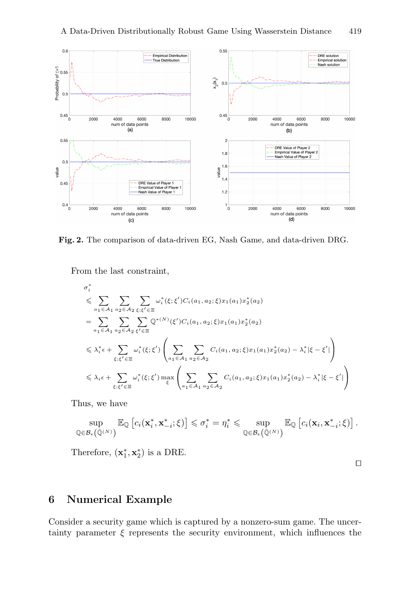

<span id="page-14-1"></span>**Fig. 2.** The comparison of data-driven EG, Nash Game, and data-driven DRG.

From the last constraint,

$$
\sigma_{i}^{*} \leqslant \sum_{a_{1} \in \mathcal{A}_{1}} \sum_{a_{2} \in \mathcal{A}_{2}} \sum_{\xi, \xi' \in \Xi} \omega_{i}^{*}(\xi; \xi') C_{i}(a_{1}, a_{2}; \xi) x_{1}(a_{1}) x_{2}^{*}(a_{2})
$$
\n
$$
= \sum_{a_{1} \in \mathcal{A}_{1}} \sum_{a_{2} \in \mathcal{A}_{2}} \sum_{\xi' \in \Xi} \mathbb{Q}^{*(N)}(\xi') C_{i}(a_{1}, a_{2}; \xi) x_{1}(a_{1}) x_{2}^{*}(a_{2})
$$
\n
$$
\leqslant \lambda_{i}^{*} \epsilon + \sum_{\xi, \xi' \in \Xi} \omega_{i}^{*}(\xi; \xi') \left( \sum_{a_{1} \in \mathcal{A}_{1}} \sum_{a_{2} \in \mathcal{A}_{2}} C_{i}(a_{1}, a_{2}; \xi) x_{1}(a_{1}) x_{2}^{*}(a_{2}) - \lambda_{i}^{*} |\xi - \xi'| \right)
$$
\n
$$
\leqslant \lambda_{i} \epsilon + \sum_{\xi, \xi' \in \Xi} \omega_{i}^{*}(\xi; \xi') \max_{\xi} \left( \sum_{a_{1} \in \mathcal{A}_{1}} \sum_{a_{2} \in \mathcal{A}_{2}} C_{i}(a_{1}, a_{2}; \xi) x_{1}(a_{1}) x_{2}^{*}(a_{2}) - \lambda_{i}^{*} |\xi - \xi'| \right)
$$

Thus, we have

$$
\sup_{\mathbb{Q}\in\mathcal{B}_{\epsilon}(\hat{\mathbb{Q}}^{(N)})}\mathbb{E}_{\mathbb{Q}}\left[c_{i}(\mathbf{x}_{i}^{*},\mathbf{x}_{-i}^{*};\xi)\right]\leqslant\sigma_{i}^{*}=\eta_{i}^{*}\leqslant\sup_{\mathbb{Q}\in\mathcal{B}_{\epsilon}(\hat{\mathbb{Q}}^{(N)})}\mathbb{E}_{\mathbb{Q}}\left[c_{i}(\mathbf{x}_{i},\mathbf{x}_{-i}^{*};\xi)\right].
$$

Therefore,  $(\mathbf{x}_1^*, \mathbf{x}_2^*)$  is a DRE.

 $\Box$ 

# <span id="page-14-0"></span>**6 Numerical Example**

Consider a security game which is captured by a nonzero-sum game. The uncertainty parameter  $\xi$  represents the security environment, which influences the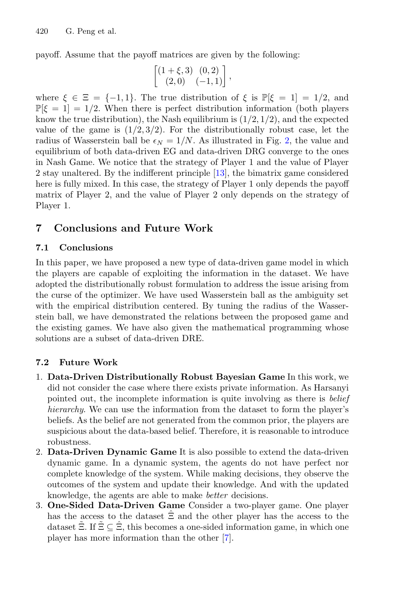payoff. Assume that the payoff matrices are given by the following:

$$
\begin{bmatrix}\n(1+\xi,3) & (0,2) \\
(2,0) & (-1,1)\n\end{bmatrix},
$$

where  $\xi \in \Xi = \{-1, 1\}$ . The true distribution of  $\xi$  is  $\mathbb{P}[\xi = 1] = 1/2$ , and  $\mathbb{P}[\xi = 1] = 1/2$ . When there is perfect distribution information (both players know the true distribution), the Nash equilibrium is  $(1/2, 1/2)$ , and the expected value of the game is  $(1/2, 3/2)$ . For the distributionally robust case, let the radius of Wasserstein ball be  $\epsilon_N = 1/N$ . As illustrated in Fig. [2,](#page-14-1) the value and equilibrium of both data-driven EG and data-driven DRG converge to the ones in Nash Game. We notice that the strategy of Player 1 and the value of Player 2 stay unaltered. By the indifferent principle [\[13](#page-16-18)], the bimatrix game considered here is fully mixed. In this case, the strategy of Player 1 only depends the payoff matrix of Player 2, and the value of Player 2 only depends on the strategy of Player 1.

# <span id="page-15-0"></span>**7 Conclusions and Future Work**

## **7.1 Conclusions**

In this paper, we have proposed a new type of data-driven game model in which the players are capable of exploiting the information in the dataset. We have adopted the distributionally robust formulation to address the issue arising from the curse of the optimizer. We have used Wasserstein ball as the ambiguity set with the empirical distribution centered. By tuning the radius of the Wasserstein ball, we have demonstrated the relations between the proposed game and the existing games. We have also given the mathematical programming whose solutions are a subset of data-driven DRE.

## **7.2 Future Work**

- 1. **Data-Driven Distributionally Robust Bayesian Game** In this work, we did not consider the case where there exists private information. As Harsanyi pointed out, the incomplete information is quite involving as there is *belief hierarchy*. We can use the information from the dataset to form the player's beliefs. As the belief are not generated from the common prior, the players are suspicious about the data-based belief. Therefore, it is reasonable to introduce robustness.
- 2. **Data-Driven Dynamic Game** It is also possible to extend the data-driven dynamic game. In a dynamic system, the agents do not have perfect nor complete knowledge of the system. While making decisions, they observe the outcomes of the system and update their knowledge. And with the updated knowledge, the agents are able to make *better* decisions.
- 3. **One-Sided Data-Driven Game** Consider a two-player game. One player has the access to the dataset  $\Xi$  and the other player has the access to the dataset  $\Xi$ . If  $\Xi \subseteq \Xi$ , this becomes a one-sided information game, in which one player has more information than the other [\[7\]](#page-16-19).